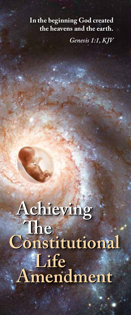### **In the beginning God created the heavens and the earth.**

*Genesis 1:1, KJV*

# **Achieving Achieving The Constitutional** *N* Extremely  **Amendment The Constitutional** *<u>Life</u>*  **Amendment**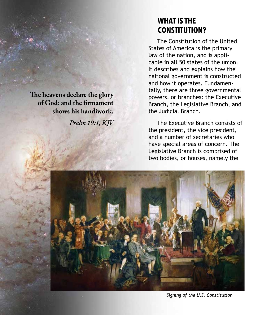**The heavens declare the glory of God; and the firmament shows his handiwork.**

*Psalm 19:1, KJV*

### **WHAT IS THE CONSTITUTION?**

 The Constitution of the United States of America is the primary law of the nation, and is applicable in all 50 states of the union. It describes and explains how the national government is constructed and how it operates. Fundamentally, there are three governmental powers, or branches: the Executive Branch, the Legislative Branch, and the Judicial Branch.

 The Executive Branch consists of the president, the vice president, and a number of secretaries who have special areas of concern. The Legislative Branch is comprised of two bodies, or houses, namely the



*Signing of the U.S. Constitution*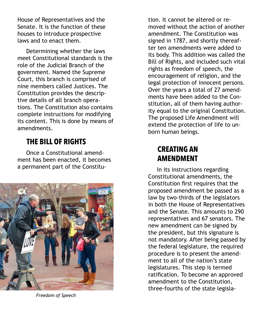House of Representatives and the Senate. It is the function of these houses to introduce prospective laws and to enact them.

 Determining whether the laws meet Constitutional standards is the role of the Judicial Branch of the government. Named the Supreme Court, this branch is comprised of nine members called Justices. The Constitution provides the descriptive details of all branch operations. The Constitution also contains complete instructions for modifying its content. This is done by means of amendments.

# **THE BILL OF RIGHTS**

 Once a Constitutional amendment has been enacted, it becomes a permanent part of the Constitu-



*Freedom of Speech*

tion. It cannot be altered or removed without the action of another amendment. The Constitution was signed in 1787, and shortly thereafter ten amendments were added to its body. This addition was called the Bill of Rights, and included such vital rights as freedom of speech, the encouragement of religion, and the legal protection of innocent persons. Over the years a total of 27 amendments have been added to the Constitution, all of them having authority equal to the original Constitution. The proposed Life Amendment will extend the protection of life to unborn human beings.

# **CREATING AN AMENDMENT**

 In its instructions regarding Constitutional amendments, the Constitution first requires that the proposed amendment be passed as a law by two-thirds of the legislators in both the House of Representatives and the Senate. This amounts to 290 representatives and 67 senators. The new amendment can be signed by the president, but this signature is not mandatory. After being passed by the federal legislature, the required procedure is to present the amendment to all of the nation's state legislatures. This step is termed ratification. To become an approved amendment to the Constitution, three-fourths of the state legisla-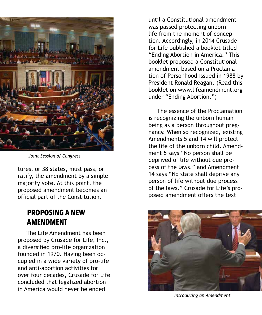

*Joint Session of Congress*

tures, or 38 states, must pass, or ratify, the amendment by a simple majority vote. At this point, the proposed amendment becomes an official part of the Constitution.

# **PROPOSING A NEW AMENDMENT**

 The Life Amendment has been proposed by Crusade for Life, Inc., a diversified pro-life organization founded in 1970. Having been occupied in a wide variety of pro-life and anti-abortion activities for over four decades, Crusade for Life concluded that legalized abortion in America would never be ended

until a Constitutional amendment was passed protecting unborn life from the moment of conception. Accordingly, in 2014 Crusade for Life published a booklet titled "Ending Abortion in America." This booklet proposed a Constitutional amendment based on a Proclamation of Personhood issued in 1988 by President Ronald Reagan. (Read this booklet on www.lifeamendment.org under "Ending Abortion.")

 The essence of the Proclamation is recognizing the unborn human being as a person throughout pregnancy. When so recognized, existing Amendments 5 and 14 will protect the life of the unborn child. Amendment 5 says "No person shall be deprived of life without due process of the laws," and Amendment 14 says "No state shall deprive any person of life without due process of the laws." Crusade for Life's proposed amendment offers the text



*Introducing an Amendment*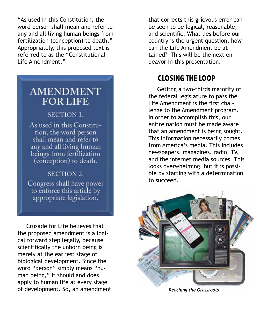"As used in this Constitution, the word person shall mean and refer to any and all living human beings from fertilization (conception) to death." Appropriately, this proposed text is referred to as the "Constitutional Life Amendment."

# **AMENDMENT FOR LIFE**

### **SECTION 1.**

As used in this Constitution, the word person shall mean and refer to any and all living human beings from fertilization (conception) to death.

### **SECTION 2.**

Congress shall have power to enforce this article by appropriate legislation.

 Crusade for Life believes that the proposed amendment is a logical forward step legally, because scientifically the unborn being is merely at the earliest stage of biological development. Since the word "person" simply means "human being," it should and does apply to human life at every stage of development. So, an amendment that corrects this grievous error can be seen to be logical, reasonable, and scientific. What lies before our country is the urgent question, how can the Life Amendment be attained? This will be the next endeavor in this presentation.

# **CLOSING THE LOOP**

 Getting a two-thirds majority of the federal legislature to pass the Life Amendment is the first challenge to the Amendment program. In order to accomplish this, our entire nation must be made aware that an amendment is being sought. This information necessarily comes from America's media. This includes newspapers, magazines, radio, TV, and the internet media sources. This looks overwhelming, but it is possible by starting with a determination to succeed.



*Reaching the Grassroots*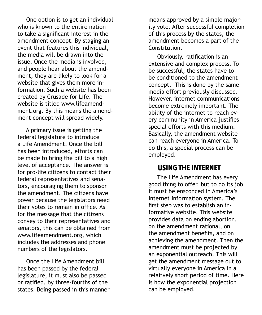One option is to get an individual who is known to the entire nation to take a significant interest in the amendment concept. By staging an event that features this individual, the media will be drawn into the issue. Once the media is involved, and people hear about the amendment, they are likely to look for a website that gives them more information. Such a website has been created by Crusade for Life. The website is titled www.lifeamendment.org. By this means the amendment concept will spread widely.

 A primary issue is getting the federal legislature to introduce a Life Amendment. Once the bill has been introduced, efforts can be made to bring the bill to a high level of acceptance. The answer is for pro-life citizens to contact their federal representatives and senators, encouraging them to sponsor the amendment. The citizens have power because the legislators need their votes to remain in office. As for the message that the citizens convey to their representatives and senators, this can be obtained from www.lifeamendment.org, which includes the addresses and phone numbers of the legislators.

 Once the Life Amendment bill has been passed by the federal legislature, it must also be passed or ratified, by three-fourths of the states. Being passed in this manner means approved by a simple majority vote. After successful completion of this process by the states, the amendment becomes a part of the Constitution.

 Obviously, ratification is an extensive and complex process. To be successful, the states have to be conditioned to the amendment concept. This is done by the same media effort previously discussed. However, internet communications become extremely important. The ability of the internet to reach every community in America justifies special efforts with this medium. Basically, the amendment website can reach everyone in America. To do this, a special process can be employed.

### **USING THE INTERNET**

 The Life Amendment has every good thing to offer, but to do its job it must be ensconced in America's internet information system. The first step was to establish an informative website. This website provides data on ending abortion, on the amendment rational, on the amendment benefits, and on achieving the amendment. Then the amendment must be projected by an exponential outreach. This will get the amendment message out to virtually everyone in America in a relatively short period of time. Here is how the exponential projection can be employed.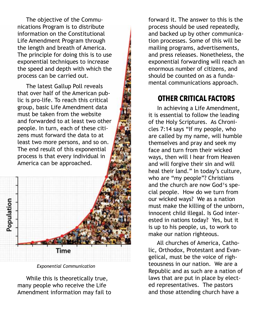The objective of the Communications Program is to distribute information on the Constitutional Life Amendment Program through the length and breath of America. The principle for doing this is to use exponential techniques to increase the speed and depth with which the process can be carried out.

 The latest Gallup Poll reveals that over half of the American public is pro-life. To reach this critical group, basic Life Amendment data must be taken from the website and forwarded to at least two other people. In turn, each of these citizens must forward the data to at least two more persons, and so on. The end result of this exponential process is that every individual in America can be approached.



*Exponential Communication*

 While this is theoretically true, many people who receive the Life Amendment information may fail to

forward it. The answer to this is the process should be used repeatedly, and backed up by other communication processes. Some of this will be mailing programs, advertisements, and press releases. Nonetheless, the exponential forwarding will reach an enormous number of citizens, and should be counted on as a fundamental communications approach.

# **OTHER CRITICAL FACTORS**

 In achieving a Life Amendment, it is essential to follow the leading of the Holy Scriptures. As Chronicles 7:14 says "If my people, who are called by my name, will humble themselves and pray and seek my face and turn from their wicked ways, then will I hear from Heaven and will forgive their sin and will heal their land." In today's culture, who are "my people"? Christians and the church are now God<sup>1</sup>s special people. How do we turn from our wicked ways? We as a nation must make the killing of the unborn, innocent child illegal. Is God interested in nations today? Yes, but it is up to his people, us, to work to make our nation righteous.

 All churches of America, Catholic, Orthodox, Protestant and Evangelical, must be the voice of righteousness in our nation. We are a Republic and as such are a nation of laws that are put in place by elected representatives. The pastors and those attending church have a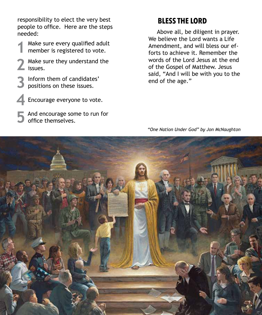responsibility to elect the very best people to office. Here are the steps needed:

- Make sure every qualified adult Make sure every qualified adu member is registered to vote.
- Make sure they understand the 2 Make s<br>issues.
- **Inform them of candidates' 3** Inform them of candidate positions on these issues.
- **Encourage everyone to vote. 4**
- And encourage some to run for **5** And encourage son office themselves.

# **BLESS THE LORD**

 Above all, be diligent in prayer. We believe the Lord wants a Life Amendment, and will bless our efforts to achieve it. Remember the words of the Lord Jesus at the end of the Gospel of Matthew. Jesus said, "And I will be with you to the end of the age."

*"One Nation Under God" by Jon McNaughton*